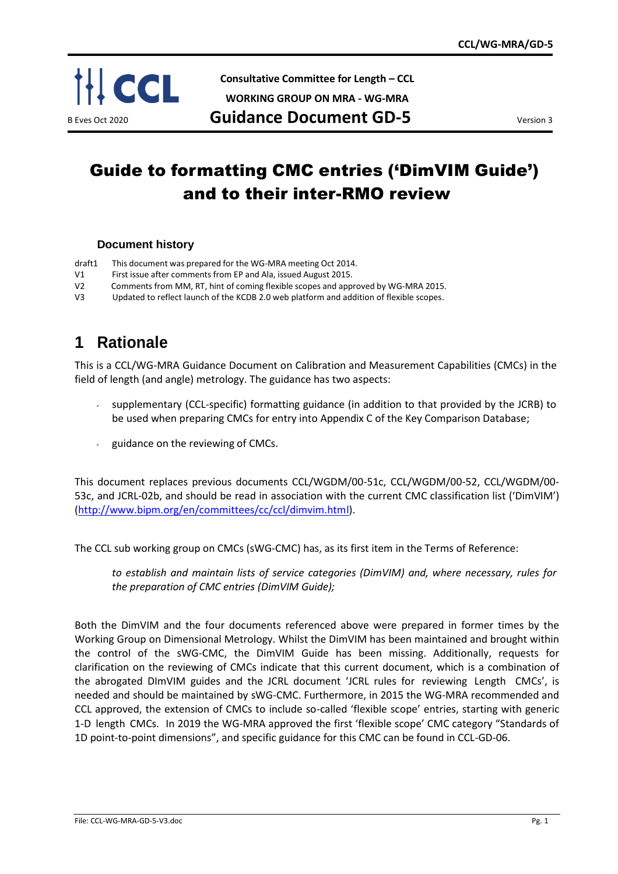

**Consultative Committee for Length – CCL**

**WORKING GROUP ON MRA - WG-MRA**

B Eves Oct 2020 **Guidance Document GD-5** 

# Guide to formatting CMC entries ('DimVIM Guide') and to their inter-RMO review

#### **Document history**

- draft1 This document was prepared for the WG-MRA meeting Oct 2014.
- V1 First issue after comments from EP and Ala, issued August 2015.
- V2 Comments from MM, RT, hint of coming flexible scopes and approved by WG-MRA 2015.
- V3 Updated to reflect launch of the KCDB 2.0 web platform and addition of flexible scopes.

### **1 Rationale**

This is a CCL/WG-MRA Guidance Document on Calibration and Measurement Capabilities (CMCs) in the field of length (and angle) metrology. The guidance has two aspects:

- supplementary (CCL-specific) formatting guidance (in addition to that provided by the JCRB) to be used when preparing CMCs for entry into Appendix C of the Key Comparison Database;
- guidance on the reviewing of CMCs.

This document replaces previous documents CCL/WGDM/00-51c, CCL/WGDM/00-52, CCL/WGDM/00- 53c, and JCRL-02b, and should be read in association with the current CMC classification list ('DimVIM') [\(http://www.bipm.org/en/committees/cc/ccl/dimvim.html\)](https://www.bipm.org/en/committees/cc/ccl/dimvim.html).

The CCL sub working group on CMCs (sWG-CMC) has, as its first item in the Terms of Reference:

*to establish and maintain lists of service categories (DimVIM) and, where necessary, rules for the preparation of CMC entries (DimVIM Guide);*

Both the DimVIM and the four documents referenced above were prepared in former times by the Working Group on Dimensional Metrology. Whilst the DimVIM has been maintained and brought within the control of the sWG-CMC, the DimVIM Guide has been missing. Additionally, requests for clarification on the reviewing of CMCs indicate that this current document, which is a combination of the abrogated DImVIM guides and the JCRL document 'JCRL rules for reviewing Length CMCs', is needed and should be maintained by sWG-CMC. Furthermore, in 2015 the WG-MRA recommended and CCL approved, the extension of CMCs to include so-called 'flexible scope' entries, starting with generic 1-D length CMCs. In 2019 the WG-MRA approved the first 'flexible scope' CMC category "Standards of 1D point-to-point dimensions", and specific guidance for this CMC can be found in CCL-GD-06.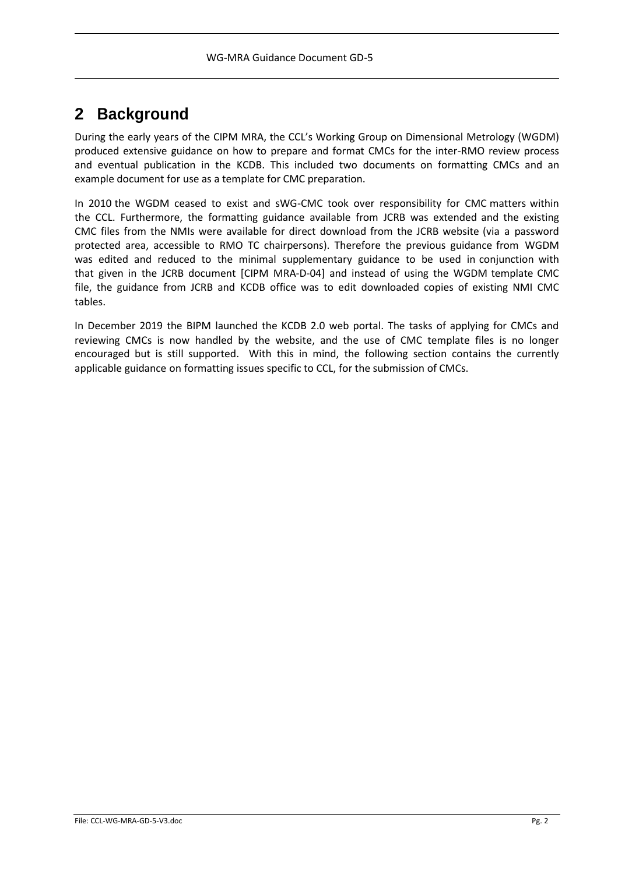## **2 Background**

During the early years of the CIPM MRA, the CCL's Working Group on Dimensional Metrology (WGDM) produced extensive guidance on how to prepare and format CMCs for the inter-RMO review process and eventual publication in the KCDB. This included two documents on formatting CMCs and an example document for use as a template for CMC preparation.

In 2010 the WGDM ceased to exist and sWG-CMC took over responsibility for CMC matters within the CCL. Furthermore, the formatting guidance available from JCRB was extended and the existing CMC files from the NMIs were available for direct download from the JCRB website (via a password protected area, accessible to RMO TC chairpersons). Therefore the previous guidance from WGDM was edited and reduced to the minimal supplementary guidance to be used in conjunction with that given in the JCRB document [CIPM MRA-D-04] and instead of using the WGDM template CMC file, the guidance from JCRB and KCDB office was to edit downloaded copies of existing NMI CMC tables.

In December 2019 the BIPM launched the KCDB 2.0 web portal. The tasks of applying for CMCs and reviewing CMCs is now handled by the website, and the use of CMC template files is no longer encouraged but is still supported. With this in mind, the following section contains the currently applicable guidance on formatting issues specific to CCL, for the submission of CMCs.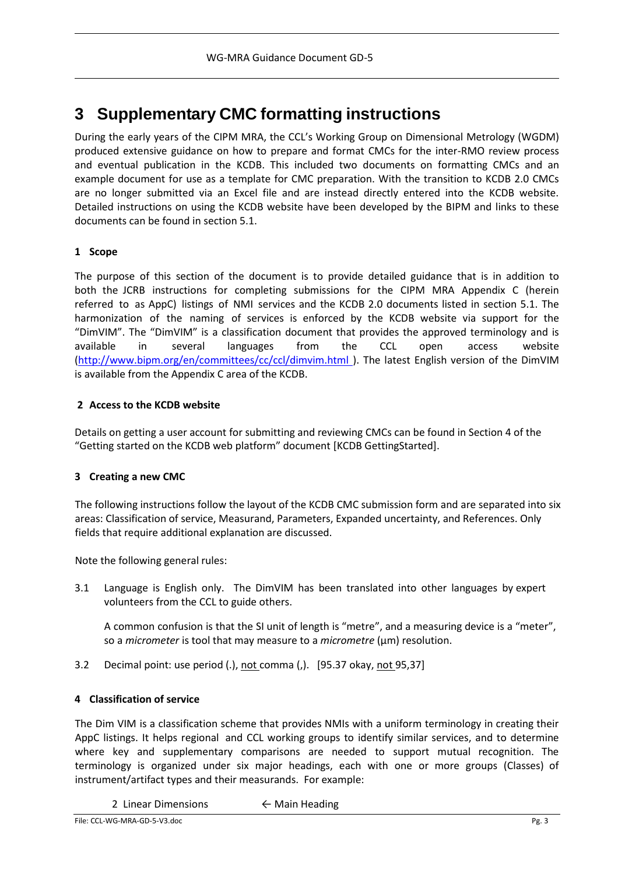## **3 Supplementary CMC formatting instructions**

During the early years of the CIPM MRA, the CCL's Working Group on Dimensional Metrology (WGDM) produced extensive guidance on how to prepare and format CMCs for the inter-RMO review process and eventual publication in the KCDB. This included two documents on formatting CMCs and an example document for use as a template for CMC preparation. With the transition to KCDB 2.0 CMCs are no longer submitted via an Excel file and are instead directly entered into the KCDB website. Detailed instructions on using the KCDB website have been developed by the BIPM and links to these documents can be found in section 5.1.

#### **1 Scope**

The purpose of this section of the document is to provide detailed guidance that is in addition to both the JCRB instructions for completing submissions for the CIPM MRA Appendix C (herein referred to as AppC) listings of NMI services and the KCDB 2.0 documents listed in section 5.1. The harmonization of the naming of services is enforced by the KCDB website via support for the "DimVIM". The "DimVIM" is a classification document that provides the approved terminology and is available in several languages from the CCL open access website [\(http://www.bipm.org/en/committees/cc/ccl/dimvim.html](https://www.bipm.org/en/committees/cc/ccl/dimvim.html) ). The latest English version of the DimVIM is available from the Appendix C area of the KCDB.

#### **2 Access to the KCDB website**

Details on getting a user account for submitting and reviewing CMCs can be found in Section 4 of the "Getting started on the KCDB web platform" document [KCDB GettingStarted].

#### **3 Creating a new CMC**

The following instructions follow the layout of the KCDB CMC submission form and are separated into six areas: Classification of service, Measurand, Parameters, Expanded uncertainty, and References. Only fields that require additional explanation are discussed.

Note the following general rules:

3.1 Language is English only. The DimVIM has been translated into other languages by expert volunteers from the CCL to guide others.

A common confusion is that the SI unit of length is "metre", and a measuring device is a "meter", so a *micrometer* is tool that may measure to a *micrometre* (µm) resolution.

3.2 Decimal point: use period (.), not comma (,). [95.37 okay, not 95,37]

#### **4 Classification of service**

The Dim VIM is a classification scheme that provides NMIs with a uniform terminology in creating their AppC listings. It helps regional and CCL working groups to identify similar services, and to determine where key and supplementary comparisons are needed to support mutual recognition. The terminology is organized under six major headings, each with one or more groups (Classes) of instrument/artifact types and their measurands. For example:

2 Linear Dimensions ← Main Heading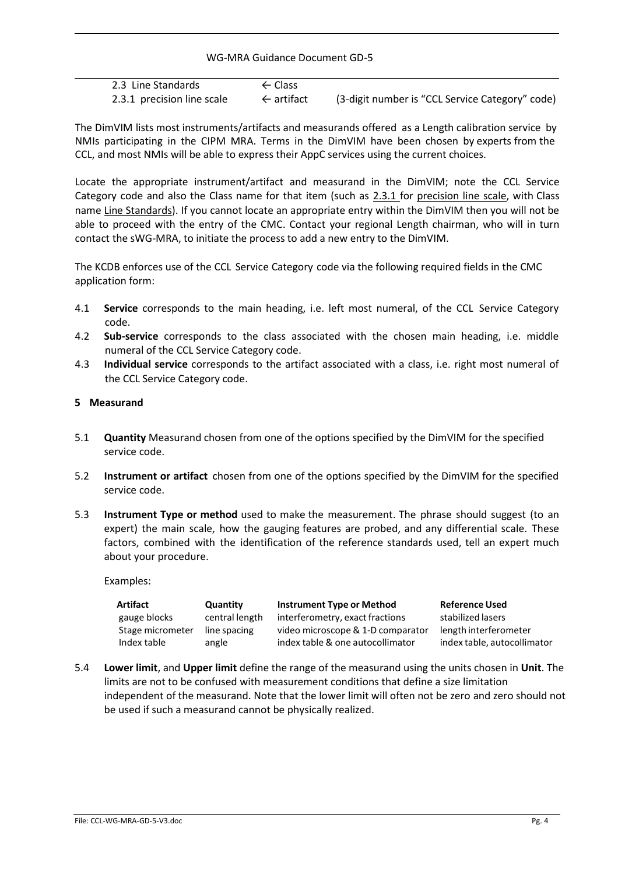WG-MRA Guidance Document GD-5

| 2.3 Line Standards         | $\leftarrow$ Class    |                                                 |
|----------------------------|-----------------------|-------------------------------------------------|
| 2.3.1 precision line scale | $\leftarrow$ artifact | (3-digit number is "CCL Service Category" code) |

The DimVIM lists most instruments/artifacts and measurands offered as a Length calibration service by NMIs participating in the CIPM MRA. Terms in the DimVIM have been chosen by experts from the CCL, and most NMIs will be able to express their AppC services using the current choices.

Locate the appropriate instrument/artifact and measurand in the DimVIM; note the CCL Service Category code and also the Class name for that item (such as 2.3.1 for precision line scale, with Class name Line Standards). If you cannot locate an appropriate entry within the DimVIM then you will not be able to proceed with the entry of the CMC. Contact your regional Length chairman, who will in turn contact the sWG-MRA, to initiate the process to add a new entry to the DimVIM.

The KCDB enforces use of the CCL Service Category code via the following required fields in the CMC application form:

- 4.1 **Service** corresponds to the main heading, i.e. left most numeral, of the CCL Service Category code.
- 4.2 **Sub-service** corresponds to the class associated with the chosen main heading, i.e. middle numeral of the CCL Service Category code.
- 4.3 **Individual service** corresponds to the artifact associated with a class, i.e. right most numeral of the CCL Service Category code.

#### **5 Measurand**

- 5.1 **Quantity** Measurand chosen from one of the options specified by the DimVIM for the specified service code.
- 5.2 **Instrument or artifact** chosen from one of the options specified by the DimVIM for the specified service code.
- 5.3 **Instrument Type or method** used to make the measurement. The phrase should suggest (to an expert) the main scale, how the gauging features are probed, and any differential scale. These factors, combined with the identification of the reference standards used, tell an expert much about your procedure.

Examples:

| Artifact         | Quantity       | <b>Instrument Type or Method</b>  | <b>Reference Used</b>       |
|------------------|----------------|-----------------------------------|-----------------------------|
| gauge blocks     | central length | interferometry, exact fractions   | stabilized lasers           |
| Stage micrometer | line spacing   | video microscope & 1-D comparator | length interferometer       |
| Index table      | angle          | index table & one autocollimator  | index table, autocollimator |

5.4 **Lower limit**, and **Upper limit** define the range of the measurand using the units chosen in **Unit**. The limits are not to be confused with measurement conditions that define a size limitation independent of the measurand. Note that the lower limit will often not be zero and zero should not be used if such a measurand cannot be physically realized.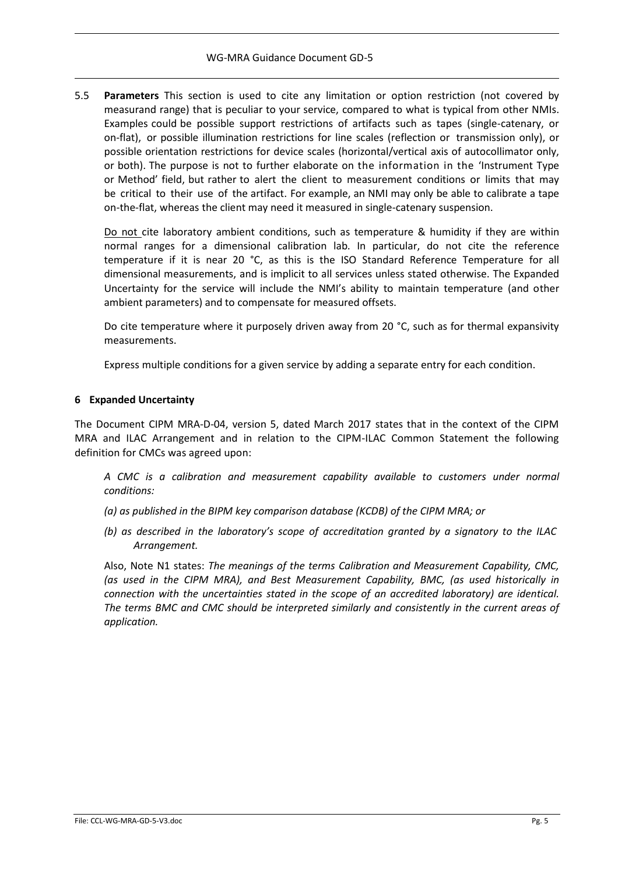5.5 **Parameters** This section is used to cite any limitation or option restriction (not covered by measurand range) that is peculiar to your service, compared to what is typical from other NMIs. Examples could be possible support restrictions of artifacts such as tapes (single-catenary, or on-flat), or possible illumination restrictions for line scales (reflection or transmission only), or possible orientation restrictions for device scales (horizontal/vertical axis of autocollimator only, or both). The purpose is not to further elaborate on the information in the 'Instrument Type or Method' field, but rather to alert the client to measurement conditions or limits that may be critical to their use of the artifact. For example, an NMI may only be able to calibrate a tape on-the-flat, whereas the client may need it measured in single-catenary suspension.

Do not cite laboratory ambient conditions, such as temperature & humidity if they are within normal ranges for a dimensional calibration lab. In particular, do not cite the reference temperature if it is near 20 °C, as this is the ISO Standard Reference Temperature for all dimensional measurements, and is implicit to all services unless stated otherwise. The Expanded Uncertainty for the service will include the NMI's ability to maintain temperature (and other ambient parameters) and to compensate for measured offsets.

Do cite temperature where it purposely driven away from 20 °C, such as for thermal expansivity measurements.

Express multiple conditions for a given service by adding a separate entry for each condition.

#### **6 Expanded Uncertainty**

The Document CIPM MRA-D-04, version 5, dated March 2017 states that in the context of the CIPM MRA and ILAC Arrangement and in relation to the CIPM-ILAC Common Statement the following definition for CMCs was agreed upon:

*A CMC is a calibration and measurement capability available to customers under normal conditions:*

- *(a) as published in the BIPM key comparison database (KCDB) of the CIPM MRA; or*
- *(b) as described in the laboratory's scope of accreditation granted by a signatory to the ILAC Arrangement.*

Also, Note N1 states: *The meanings of the terms Calibration and Measurement Capability, CMC, (as used in the CIPM MRA), and Best Measurement Capability, BMC, (as used historically in connection with the uncertainties stated in the scope of an accredited laboratory) are identical. The terms BMC and CMC should be interpreted similarly and consistently in the current areas of application.*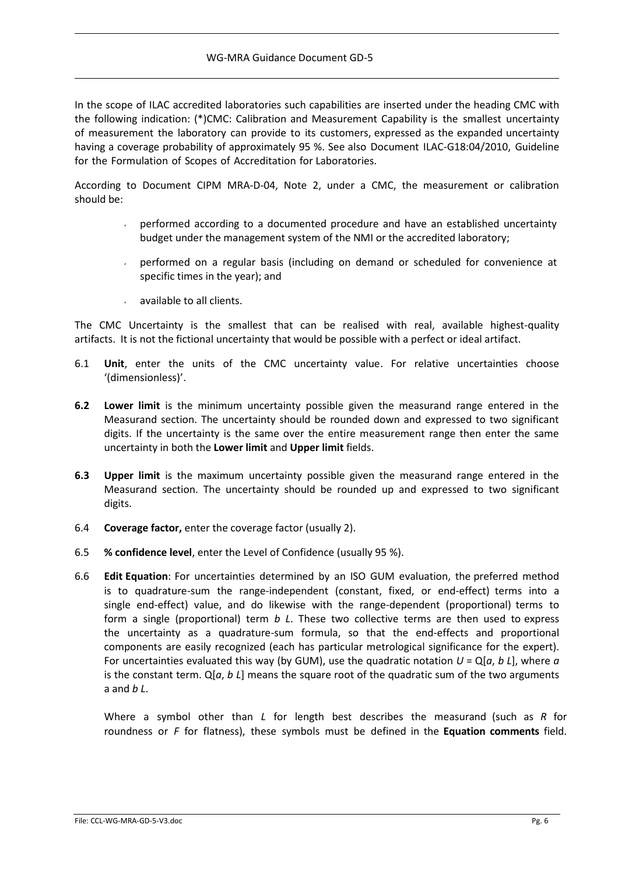In the scope of ILAC accredited laboratories such capabilities are inserted under the heading CMC with the following indication: (\*)CMC: Calibration and Measurement Capability is the smallest uncertainty of measurement the laboratory can provide to its customers, expressed as the expanded uncertainty having a coverage probability of approximately 95 %. See also Document ILAC-G18:04/2010, Guideline for the Formulation of Scopes of Accreditation for Laboratories.

According to Document CIPM MRA-D-04, Note 2, under a CMC, the measurement or calibration should be:

- performed according to a documented procedure and have an established uncertainty budget under the management system of the NMI or the accredited laboratory;
- performed on a regular basis (including on demand or scheduled for convenience at specific times in the year); and
- available to all clients.

The CMC Uncertainty is the smallest that can be realised with real, available highest-quality artifacts. It is not the fictional uncertainty that would be possible with a perfect or ideal artifact.

- 6.1 **Unit**, enter the units of the CMC uncertainty value. For relative uncertainties choose '(dimensionless)'.
- **6.2 Lower limit** is the minimum uncertainty possible given the measurand range entered in the Measurand section. The uncertainty should be rounded down and expressed to two significant digits. If the uncertainty is the same over the entire measurement range then enter the same uncertainty in both the **Lower limit** and **Upper limit** fields.
- **6.3 Upper limit** is the maximum uncertainty possible given the measurand range entered in the Measurand section. The uncertainty should be rounded up and expressed to two significant digits.
- 6.4 **Coverage factor,** enter the coverage factor (usually 2).
- 6.5 **% confidence level**, enter the Level of Confidence (usually 95 %).
- 6.6 **Edit Equation**: For uncertainties determined by an ISO GUM evaluation, the preferred method is to quadrature-sum the range-independent (constant, fixed, or end-effect) terms into a single end-effect) value, and do likewise with the range-dependent (proportional) terms to form a single (proportional) term *b L*. These two collective terms are then used to express the uncertainty as a quadrature-sum formula, so that the end-effects and proportional components are easily recognized (each has particular metrological significance for the expert). For uncertainties evaluated this way (by GUM), use the quadratic notation  $U = Q[a, b]$ , where  $a$ is the constant term. Q[*a*, *b L*] means the square root of the quadratic sum of the two arguments a and *b L*.

Where a symbol other than *L* for length best describes the measurand (such as *R* for roundness or *F* for flatness), these symbols must be defined in the **Equation comments** field.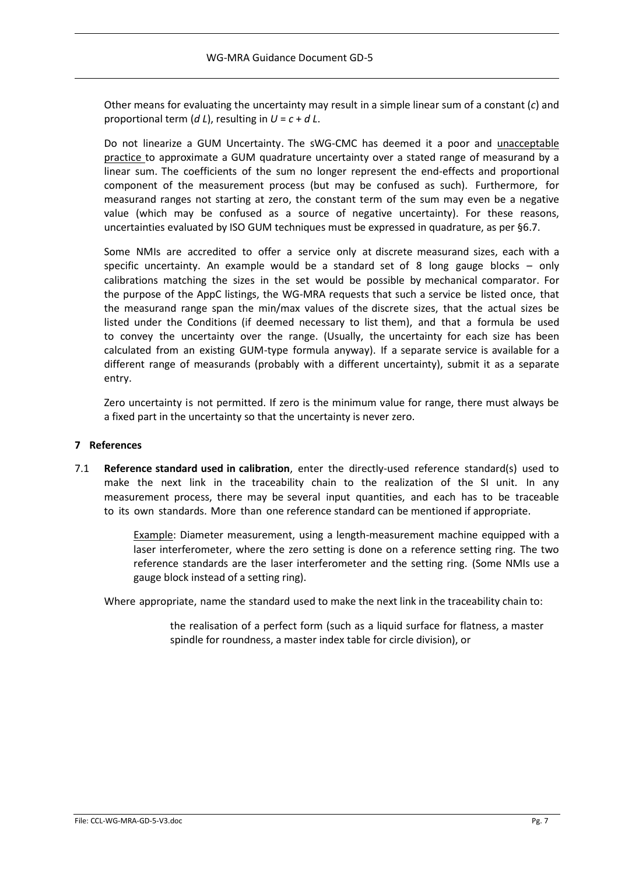Other means for evaluating the uncertainty may result in a simple linear sum of a constant (*c*) and proportional term  $(d L)$ , resulting in  $U = c + d L$ .

Do not linearize a GUM Uncertainty. The sWG-CMC has deemed it a poor and **unacceptable** practice to approximate a GUM quadrature uncertainty over a stated range of measurand by a linear sum. The coefficients of the sum no longer represent the end-effects and proportional component of the measurement process (but may be confused as such). Furthermore, for measurand ranges not starting at zero, the constant term of the sum may even be a negative value (which may be confused as a source of negative uncertainty). For these reasons, uncertainties evaluated by ISO GUM techniques must be expressed in quadrature, as per §6.7.

Some NMIs are accredited to offer a service only at discrete measurand sizes, each with a specific uncertainty. An example would be a standard set of 8 long gauge blocks – only calibrations matching the sizes in the set would be possible by mechanical comparator. For the purpose of the AppC listings, the WG-MRA requests that such a service be listed once, that the measurand range span the min/max values of the discrete sizes, that the actual sizes be listed under the Conditions (if deemed necessary to list them), and that a formula be used to convey the uncertainty over the range. (Usually, the uncertainty for each size has been calculated from an existing GUM-type formula anyway). If a separate service is available for a different range of measurands (probably with a different uncertainty), submit it as a separate entry.

Zero uncertainty is not permitted. If zero is the minimum value for range, there must always be a fixed part in the uncertainty so that the uncertainty is never zero.

#### **7 References**

7.1 **Reference standard used in calibration**, enter the directly-used reference standard(s) used to make the next link in the traceability chain to the realization of the SI unit. In any measurement process, there may be several input quantities, and each has to be traceable to its own standards. More than one reference standard can be mentioned if appropriate.

> **Example: Diameter measurement, using a length-measurement machine equipped with a** laser interferometer, where the zero setting is done on a reference setting ring. The two reference standards are the laser interferometer and the setting ring. (Some NMIs use a gauge block instead of a setting ring).

Where appropriate, name the standard used to make the next link in the traceability chain to:

the realisation of a perfect form (such as a liquid surface for flatness, a master spindle for roundness, a master index table for circle division), or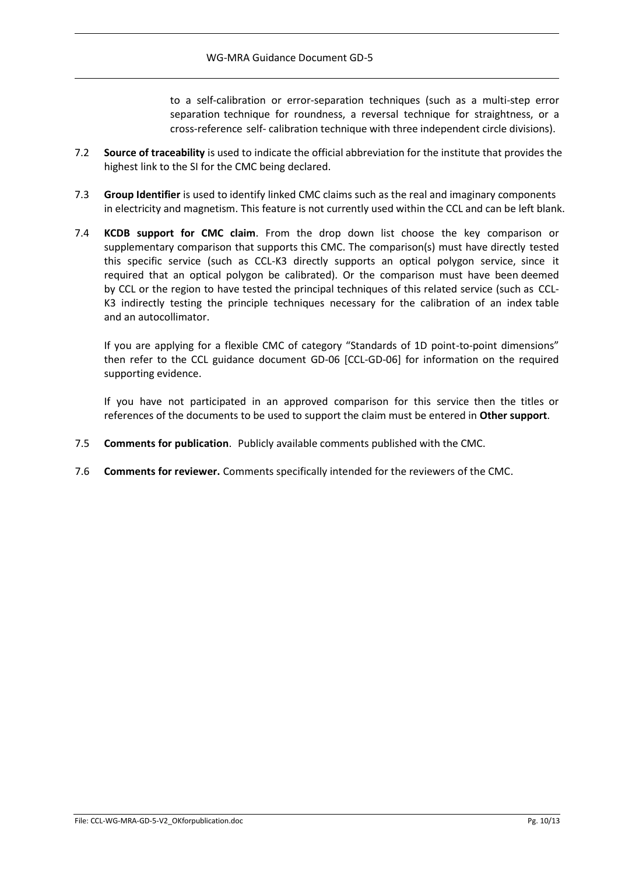to a self-calibration or error-separation techniques (such as a multi-step error separation technique for roundness, a reversal technique for straightness, or a cross-reference self- calibration technique with three independent circle divisions).

- 7.2 **Source of traceability** is used to indicate the official abbreviation for the institute that provides the highest link to the SI for the CMC being declared.
- 7.3 **Group Identifier** is used to identify linked CMC claims such as the real and imaginary components in electricity and magnetism. This feature is not currently used within the CCL and can be left blank.
- 7.4 **KCDB support for CMC claim**. From the drop down list choose the key comparison or supplementary comparison that supports this CMC. The comparison(s) must have directly tested this specific service (such as CCL-K3 directly supports an optical polygon service, since it required that an optical polygon be calibrated). Or the comparison must have been deemed by CCL or the region to have tested the principal techniques of this related service (such as CCL-K3 indirectly testing the principle techniques necessary for the calibration of an index table and an autocollimator.

If you are applying for a flexible CMC of category "Standards of 1D point-to-point dimensions" then refer to the CCL guidance document GD-06 [CCL-GD-06] for information on the required supporting evidence.

If you have not participated in an approved comparison for this service then the titles or references of the documents to be used to support the claim must be entered in **Other support**.

- 7.5 **Comments for publication**. Publicly available comments published with the CMC.
- 7.6 **Comments for reviewer.** Comments specifically intended for the reviewers of the CMC.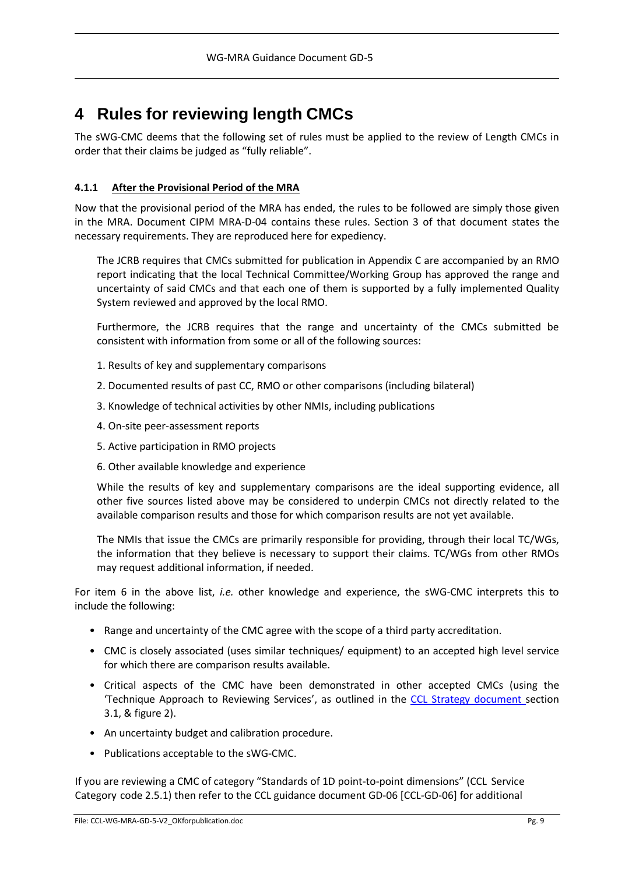## **4 Rules for reviewing length CMCs**

The sWG-CMC deems that the following set of rules must be applied to the review of Length CMCs in order that their claims be judged as "fully reliable".

#### **4.1.1 After the Provisional Period of the MRA**

Now that the provisional period of the MRA has ended, the rules to be followed are simply those given in the MRA. Document CIPM MRA-D-04 contains these rules. Section 3 of that document states the necessary requirements. They are reproduced here for expediency.

The JCRB requires that CMCs submitted for publication in Appendix C are accompanied by an RMO report indicating that the local Technical Committee/Working Group has approved the range and uncertainty of said CMCs and that each one of them is supported by a fully implemented Quality System reviewed and approved by the local RMO.

Furthermore, the JCRB requires that the range and uncertainty of the CMCs submitted be consistent with information from some or all of the following sources:

- 1. Results of key and supplementary comparisons
- 2. Documented results of past CC, RMO or other comparisons (including bilateral)
- 3. Knowledge of technical activities by other NMIs, including publications
- 4. On-site peer-assessment reports
- 5. Active participation in RMO projects
- 6. Other available knowledge and experience

While the results of key and supplementary comparisons are the ideal supporting evidence, all other five sources listed above may be considered to underpin CMCs not directly related to the available comparison results and those for which comparison results are not yet available.

The NMIs that issue the CMCs are primarily responsible for providing, through their local TC/WGs, the information that they believe is necessary to support their claims. TC/WGs from other RMOs may request additional information, if needed.

For item 6 in the above list, *i.e.* other knowledge and experience, the sWG-CMC interprets this to include the following:

- Range and uncertainty of the CMC agree with the scope of a third party accreditation.
- CMC is closely associated (uses similar techniques/ equipment) to an accepted high level service for which there are comparison results available.
- Critical aspects of the CMC have been demonstrated in other accepted CMCs (using the 'Technique Approach to Reviewing Services', as outlined in the CCL Strategy [document](https://www.bipm.org/utils/en/pdf/CCL-strategy-document.pdf) section 3.1, & figure 2).
- An uncertainty budget and calibration procedure.
- Publications acceptable to the sWG-CMC.

If you are reviewing a CMC of category "Standards of 1D point-to-point dimensions" (CCL Service Category code 2.5.1) then refer to the CCL guidance document GD-06 [CCL-GD-06] for additional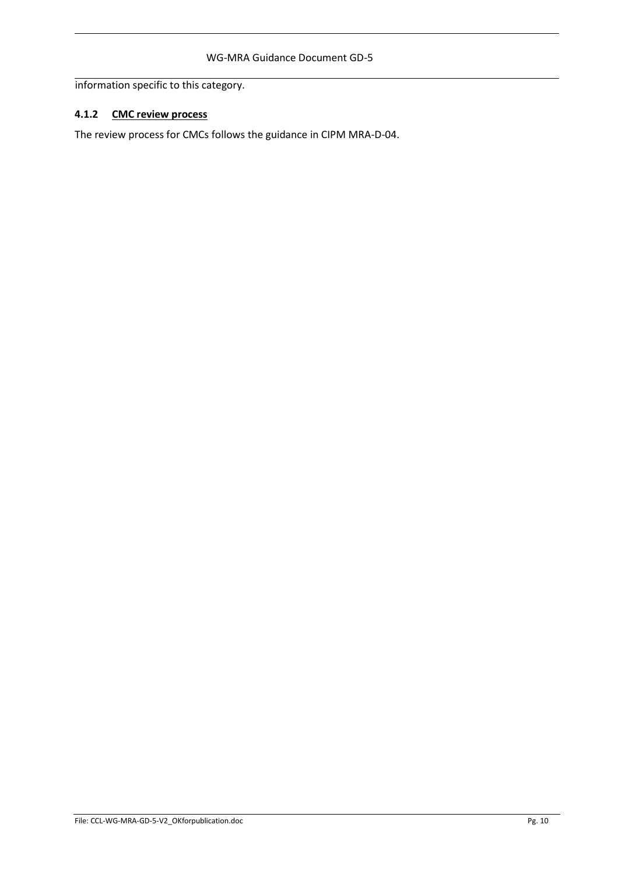information specific to this category.

#### **4.1.2 CMC review process**

The review process for CMCs follows the guidance in CIPM MRA-D-04.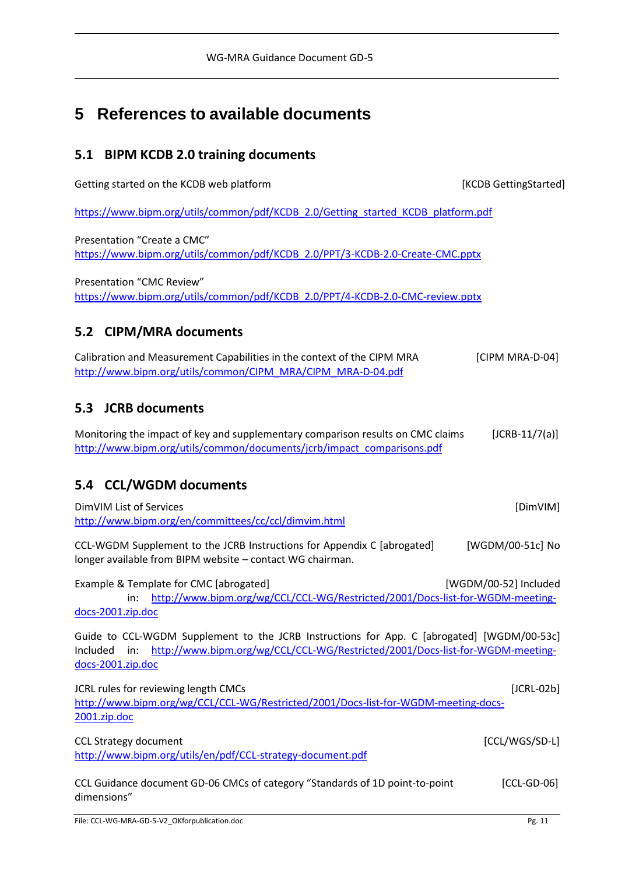## **5 References to available documents**

### **5.1 BIPM KCDB 2.0 training documents**

Getting started on the KCDB web platform **EXALL CONGENTS** [KCDB GettingStarted]

[https://www.bipm.org/utils/common/pdf/KCDB\\_2.0/Getting\\_started\\_KCDB\\_platform.pdf](https://www.bipm.org/utils/common/pdf/KCDB_2.0/Getting_started_KCDB_platform.pdf)

Presentation "Create a CMC" [https://www.bipm.org/utils/common/pdf/KCDB\\_2.0/PPT/3-KCDB-2.0-Create-CMC.pptx](https://www.bipm.org/utils/common/pdf/KCDB_2.0/PPT/3-KCDB-2.0-Create-CMC.pptx)

Presentation "CMC Review" [https://www.bipm.org/utils/common/pdf/KCDB\\_2.0/PPT/4-KCDB-2.0-CMC-review.pptx](https://www.bipm.org/utils/common/pdf/KCDB_2.0/PPT/4-KCDB-2.0-CMC-review.pptx)

### **5.2 CIPM/MRA documents**

Calibration and Measurement Capabilities in the context of the CIPM MRA [CIPM MRA-D-04] [http://www.bipm.org/utils/common/CIPM\\_MRA/CIPM\\_MRA-D-04.pdf](https://www.bipm.org/utils/common/CIPM_MRA/CIPM_MRA-D-04.pdf)

### **5.3 JCRB documents**

Monitoring the impact of key and supplementary comparison results on CMC claims [JCRB-11/7(a)] [http://www.bipm.org/utils/common/documents/jcrb/impact\\_comparisons.pdf](https://www.bipm.org/utils/common/documents/jcrb/impact_comparisons.pdf)

### **5.4 CCL/WGDM documents**

| DimVIM List of Services                                                                                                                                                                                                        | [DimVIM]              |
|--------------------------------------------------------------------------------------------------------------------------------------------------------------------------------------------------------------------------------|-----------------------|
| http://www.bipm.org/en/committees/cc/ccl/dimvim.html                                                                                                                                                                           |                       |
| CCL-WGDM Supplement to the JCRB Instructions for Appendix C [abrogated]<br>longer available from BIPM website - contact WG chairman.                                                                                           | [WGDM/00-51c] No      |
| Example & Template for CMC [abrogated]                                                                                                                                                                                         | [WGDM/00-52] Included |
| http://www.bipm.org/wg/CCL/CCL-WG/Restricted/2001/Docs-list-for-WGDM-meeting-<br>in:                                                                                                                                           |                       |
| docs-2001.zip.doc                                                                                                                                                                                                              |                       |
| Guide to CCL-WGDM Supplement to the JCRB Instructions for App. C [abrogated] [WGDM/00-53c]<br>http://www.bipm.org/wg/CCL/CCL-WG/Restricted/2001/Docs-list-for-WGDM-meeting-<br>$\mathsf{in}:$<br>Included<br>docs-2001.zip.doc |                       |
| JCRL rules for reviewing length CMCs                                                                                                                                                                                           | $[JCRL-02b]$          |
| http://www.bipm.org/wg/CCL/CCL-WG/Restricted/2001/Docs-list-for-WGDM-meeting-docs-                                                                                                                                             |                       |
| 2001.zip.doc                                                                                                                                                                                                                   |                       |
| <b>CCL Strategy document</b>                                                                                                                                                                                                   | [CCL/WGS/SD-L]        |
| http://www.bipm.org/utils/en/pdf/CCL-strategy-document.pdf                                                                                                                                                                     |                       |
| CCL Guidance document GD-06 CMCs of category "Standards of 1D point-to-point<br>dimensions"                                                                                                                                    | $[CL-GD-06]$          |
|                                                                                                                                                                                                                                |                       |